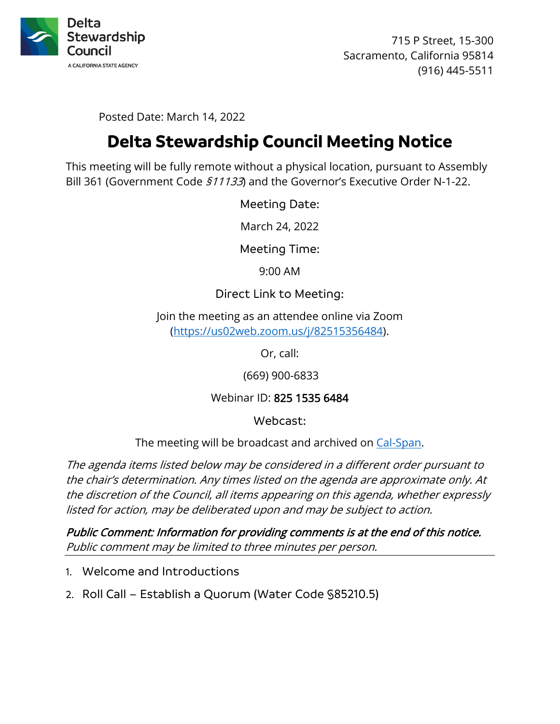

715 P Street, 15-300 Sacramento, California 95814 (916) 445-5511

Posted Date: March 14, 2022

# **Delta Stewardship Council Meeting Notice**

This meeting will be fully remote without a physical location, pursuant to Assembly Bill 361 (Government Code  $$11133$ ) and the Governor's Executive Order N-1-22.

Meeting Date:

March 24, 2022

Meeting Time:

9:00 AM

## Direct Link to Meeting:

Join the meeting as an attendee online via Zoom [\(https://us02web.zoom.us/j/82515356484\)](https://us02web.zoom.us/j/82515356484).

Or, call:

(669) 900-6833

## Webinar ID: 825 1535 6484

Webcast:

The meeting will be broadcast and archived on [Cal-Span.](https://www.cal-span.org/)

The agenda items listed below may be considered in a different order pursuant to the chair's determination. Any times listed on the agenda are approximate only. At the discretion of the Council, all items appearing on this agenda, whether expressly listed for action, may be deliberated upon and may be subject to action.

Public Comment: Information for providing comments is at the end of this notice. Public comment may be limited to three minutes per person.

- 1. Welcome and Introductions
- 2. Roll Call Establish a Quorum (Water Code §85210.5)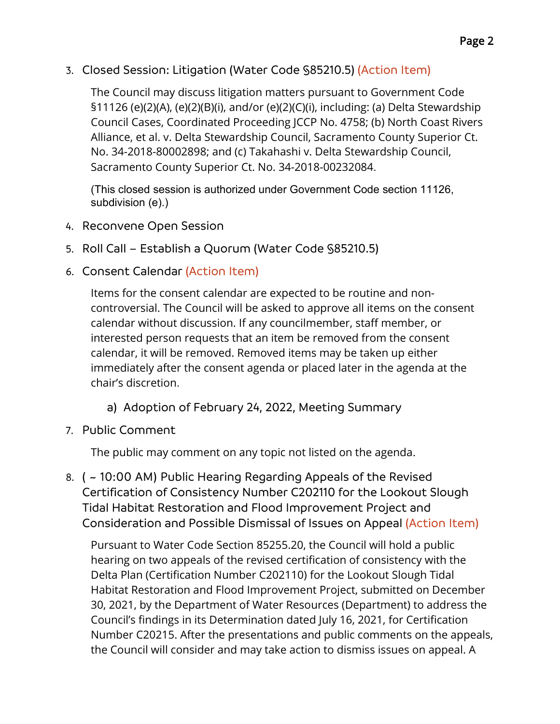3. Closed Session: Litigation (Water Code §85210.5) (Action Item)

The Council may discuss litigation matters pursuant to Government Code §11126 (e)(2)(A), (e)(2)(B)(i), and/or (e)(2)(C)(i), including: (a) Delta Stewardship Council Cases, Coordinated Proceeding JCCP No. 4758; (b) North Coast Rivers Alliance, et al. v. Delta Stewardship Council, Sacramento County Superior Ct. No. 34-2018-80002898; and (c) Takahashi v. Delta Stewardship Council, Sacramento County Superior Ct. No. 34-2018-00232084.

(This closed session is authorized under Government Code section 11126, subdivision (e).)

- 4. Reconvene Open Session
- 5. Roll Call Establish a Quorum (Water Code §85210.5)
- 6. Consent Calendar (Action Item)

Items for the consent calendar are expected to be routine and noncontroversial. The Council will be asked to approve all items on the consent calendar without discussion. If any councilmember, staff member, or interested person requests that an item be removed from the consent calendar, it will be removed. Removed items may be taken up either immediately after the consent agenda or placed later in the agenda at the chair's discretion.

- a) Adoption of February 24, 2022, Meeting Summary
- 7. Public Comment

The public may comment on any topic not listed on the agenda.

8. ( ~ 10:00 AM) Public Hearing Regarding Appeals of the Revised Certification of Consistency Number C202110 for the Lookout Slough Tidal Habitat Restoration and Flood Improvement Project and Consideration and Possible Dismissal of Issues on Appeal (Action Item)

Pursuant to Water Code Section 85255.20, the Council will hold a public hearing on two appeals of the revised certification of consistency with the Delta Plan (Certification Number C202110) for the Lookout Slough Tidal Habitat Restoration and Flood Improvement Project, submitted on December 30, 2021, by the Department of Water Resources (Department) to address the Council's findings in its Determination dated July 16, 2021, for Certification Number C20215. After the presentations and public comments on the appeals, the Council will consider and may take action to dismiss issues on appeal. A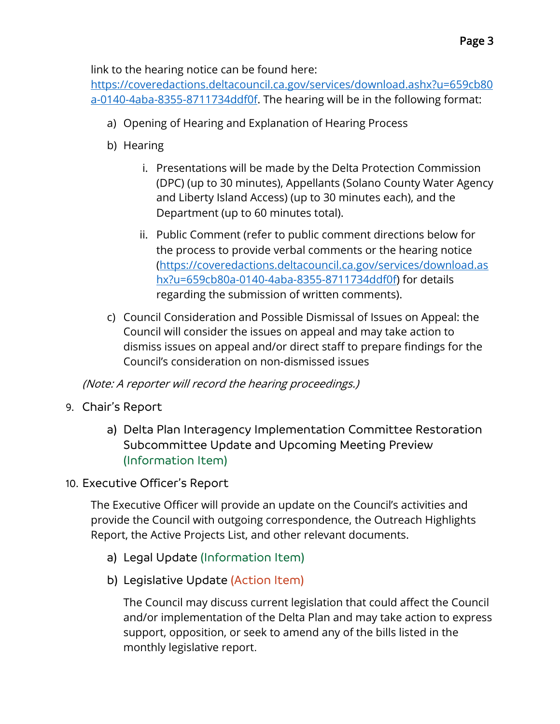link to the hearing notice can be found here:

[https://coveredactions.deltacouncil.ca.gov/services/download.ashx?u=659cb80](https://coveredactions.deltacouncil.ca.gov/services/download.ashx?u=659cb80a-0140-4aba-8355-8711734ddf0f) [a-0140-4aba-8355-8711734ddf0f.](https://coveredactions.deltacouncil.ca.gov/services/download.ashx?u=659cb80a-0140-4aba-8355-8711734ddf0f) The hearing will be in the following format:

- a) Opening of Hearing and Explanation of Hearing Process
- b) Hearing
	- i. Presentations will be made by the Delta Protection Commission (DPC) (up to 30 minutes), Appellants (Solano County Water Agency and Liberty Island Access) (up to 30 minutes each), and the Department (up to 60 minutes total).
	- ii. Public Comment (refer to public comment directions below for the process to provide verbal comments or the hearing notice [\(https://coveredactions.deltacouncil.ca.gov/services/download.as](https://coveredactions.deltacouncil.ca.gov/services/download.ashx?u=659cb80a-0140-4aba-8355-8711734ddf0f) [hx?u=659cb80a-0140-4aba-8355-8711734ddf0f\)](https://coveredactions.deltacouncil.ca.gov/services/download.ashx?u=659cb80a-0140-4aba-8355-8711734ddf0f) for details regarding the submission of written comments).
- c) Council Consideration and Possible Dismissal of Issues on Appeal: the Council will consider the issues on appeal and may take action to dismiss issues on appeal and/or direct staff to prepare findings for the Council's consideration on non-dismissed issues

(Note: A reporter will record the hearing proceedings.)

- 9. Chair's Report
	- a) Delta Plan Interagency Implementation Committee Restoration Subcommittee Update and Upcoming Meeting Preview (Information Item)
- 10. Executive Officer's Report

The Executive Officer will provide an update on the Council's activities and provide the Council with outgoing correspondence, the Outreach Highlights Report, the Active Projects List, and other relevant documents.

- a) Legal Update (Information Item)
- b) Legislative Update (Action Item)

The Council may discuss current legislation that could affect the Council and/or implementation of the Delta Plan and may take action to express support, opposition, or seek to amend any of the bills listed in the monthly legislative report.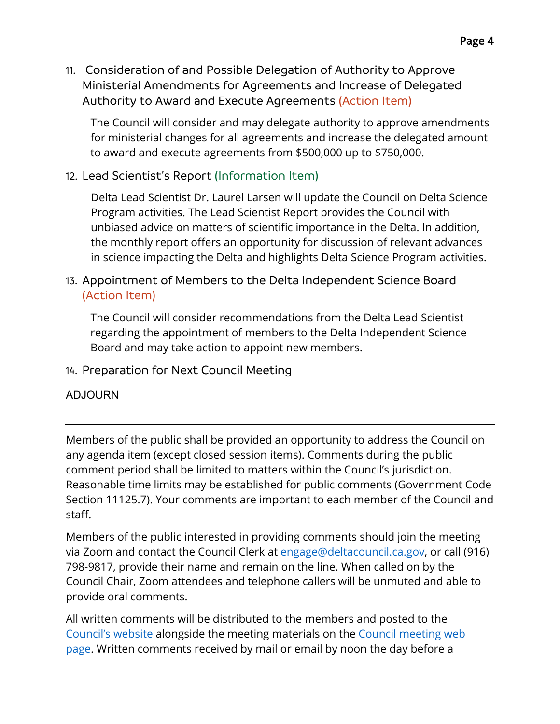11. Consideration of and Possible Delegation of Authority to Approve Ministerial Amendments for Agreements and Increase of Delegated Authority to Award and Execute Agreements (Action Item)

The Council will consider and may delegate authority to approve amendments for ministerial changes for all agreements and increase the delegated amount to award and execute agreements from \$500,000 up to \$750,000.

# 12. Lead Scientist's Report (Information Item)

Delta Lead Scientist Dr. Laurel Larsen will update the Council on Delta Science Program activities. The Lead Scientist Report provides the Council with unbiased advice on matters of scientific importance in the Delta. In addition, the monthly report offers an opportunity for discussion of relevant advances in science impacting the Delta and highlights Delta Science Program activities.

# 13. Appointment of Members to the Delta Independent Science Board (Action Item)

The Council will consider recommendations from the Delta Lead Scientist regarding the appointment of members to the Delta Independent Science Board and may take action to appoint new members.

## 14. Preparation for Next Council Meeting

#### ADJOURN

Members of the public shall be provided an opportunity to address the Council on any agenda item (except closed session items). Comments during the public comment period shall be limited to matters within the Council's jurisdiction. Reasonable time limits may be established for public comments (Government Code Section 11125.7). Your comments are important to each member of the Council and staff.

Members of the public interested in providing comments should join the meeting via Zoom and contact the Council Clerk at [engage@deltacouncil.ca.gov,](mailto:engage@deltacouncil.ca.gov) or call (916) 798-9817, provide their name and remain on the line. When called on by the Council Chair, Zoom attendees and telephone callers will be unmuted and able to provide oral comments.

All written comments will be distributed to the members and posted to the [Council's website](https://deltacouncil.ca.gov/) alongside the meeting materials on the [Council meeting](https://deltacouncil.ca.gov/council-meetings) web [page.](https://deltacouncil.ca.gov/council-meetings) Written comments received by mail or email by noon the day before a